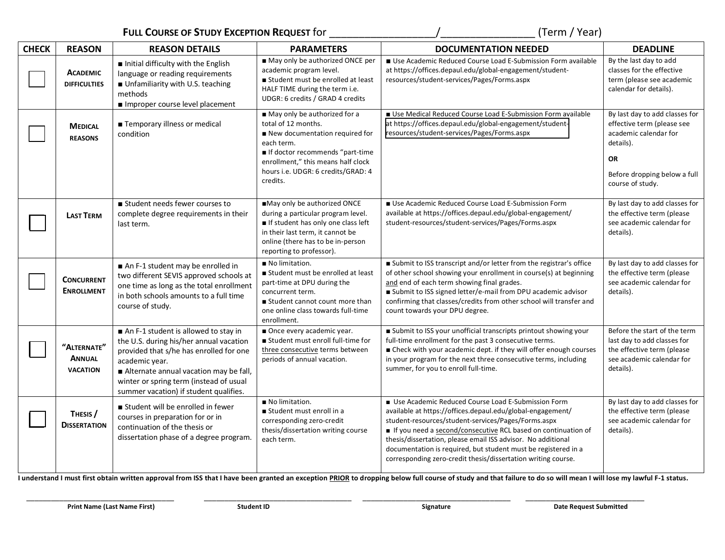**FULL COURSE OF STUDY EXCEPTION REQUEST** for \_\_\_\_\_\_\_\_\_\_\_\_\_\_\_\_\_\_/\_\_\_\_\_\_\_\_\_\_\_\_\_\_\_\_ (Term / Year)

| <b>CHECK</b> | <b>REASON</b>                                   | <b>REASON DETAILS</b>                                                                                                                                                                                                                                                       | <b>PARAMETERS</b>                                                                                                                                                                                                              | <b>DOCUMENTATION NEEDED</b>                                                                                                                                                                                                                                                                                                                                                                                                                 | <b>DEADLINE</b>                                                                                                                                                     |
|--------------|-------------------------------------------------|-----------------------------------------------------------------------------------------------------------------------------------------------------------------------------------------------------------------------------------------------------------------------------|--------------------------------------------------------------------------------------------------------------------------------------------------------------------------------------------------------------------------------|---------------------------------------------------------------------------------------------------------------------------------------------------------------------------------------------------------------------------------------------------------------------------------------------------------------------------------------------------------------------------------------------------------------------------------------------|---------------------------------------------------------------------------------------------------------------------------------------------------------------------|
|              | <b>ACADEMIC</b><br><b>DIFFICULTIES</b>          | Initial difficulty with the English<br>language or reading requirements<br>Unfamiliarity with U.S. teaching<br>methods<br>Improper course level placement                                                                                                                   | May only be authorized ONCE per<br>academic program level.<br>Student must be enrolled at least<br>HALF TIME during the term i.e.<br>UDGR: 6 credits / GRAD 4 credits                                                          | Use Academic Reduced Course Load E-Submission Form available<br>at https://offices.depaul.edu/global-engagement/student-<br>resources/student-services/Pages/Forms.aspx                                                                                                                                                                                                                                                                     | By the last day to add<br>classes for the effective<br>term (please see academic<br>calendar for details).                                                          |
|              | <b>MEDICAL</b><br><b>REASONS</b>                | ■ Temporary illness or medical<br>condition                                                                                                                                                                                                                                 | May only be authorized for a<br>total of 12 months.<br>New documentation required for<br>each term.<br>If doctor recommends "part-time<br>enrollment," this means half clock<br>hours i.e. UDGR: 6 credits/GRAD: 4<br>credits. | Use Medical Reduced Course Load E-Submission Form available<br>at https://offices.depaul.edu/global-engagement/student-<br>resources/student-services/Pages/Forms.aspx                                                                                                                                                                                                                                                                      | By last day to add classes for<br>effective term (please see<br>academic calendar for<br>details).<br><b>OR</b><br>Before dropping below a full<br>course of study. |
|              | <b>LAST TERM</b>                                | student needs fewer courses to<br>complete degree requirements in their<br>last term.                                                                                                                                                                                       | May only be authorized ONCE<br>during a particular program level.<br>If student has only one class left<br>in their last term, it cannot be<br>online (there has to be in-person<br>reporting to professor).                   | Use Academic Reduced Course Load E-Submission Form<br>available at https://offices.depaul.edu/global-engagement/<br>student-resources/student-services/Pages/Forms.aspx                                                                                                                                                                                                                                                                     | By last day to add classes for<br>the effective term (please<br>see academic calendar for<br>details).                                                              |
|              | <b>CONCURRENT</b><br><b>ENROLLMENT</b>          | An F-1 student may be enrolled in<br>two different SEVIS approved schools at<br>one time as long as the total enrollment<br>in both schools amounts to a full time<br>course of study.                                                                                      | No limitation.<br>Student must be enrolled at least<br>part-time at DPU during the<br>concurrent term.<br>■ Student cannot count more than<br>one online class towards full-time<br>enrollment.                                | Submit to ISS transcript and/or letter from the registrar's office<br>of other school showing your enrollment in course(s) at beginning<br>and end of each term showing final grades.<br>Submit to ISS signed letter/e-mail from DPU academic advisor<br>confirming that classes/credits from other school will transfer and<br>count towards your DPU degree.                                                                              | By last day to add classes for<br>the effective term (please<br>see academic calendar for<br>details).                                                              |
|              | "ALTERNATE"<br><b>ANNUAL</b><br><b>VACATION</b> | An F-1 student is allowed to stay in<br>the U.S. during his/her annual vacation<br>provided that s/he has enrolled for one<br>academic year.<br>Alternate annual vacation may be fall,<br>winter or spring term (instead of usual<br>summer vacation) if student qualifies. | Once every academic year.<br>student must enroll full-time for<br>three consecutive terms between<br>periods of annual vacation.                                                                                               | Submit to ISS your unofficial transcripts printout showing your<br>full-time enrollment for the past 3 consecutive terms.<br>■ Check with your academic dept. if they will offer enough courses<br>in your program for the next three consecutive terms, including<br>summer, for you to enroll full-time.                                                                                                                                  | Before the start of the term<br>last day to add classes for<br>the effective term (please<br>see academic calendar for<br>details).                                 |
|              | THESIS /<br><b>DISSERTATION</b>                 | Student will be enrolled in fewer<br>courses in preparation for or in<br>continuation of the thesis or<br>dissertation phase of a degree program.                                                                                                                           | No limitation.<br>Student must enroll in a<br>corresponding zero-credit<br>thesis/dissertation writing course<br>each term.                                                                                                    | Use Academic Reduced Course Load E-Submission Form<br>available at https://offices.depaul.edu/global-engagement/<br>student-resources/student-services/Pages/Forms.aspx<br>If you need a second/consecutive RCL based on continuation of<br>thesis/dissertation, please email ISS advisor. No additional<br>documentation is required, but student must be registered in a<br>corresponding zero-credit thesis/dissertation writing course. | By last day to add classes for<br>the effective term (please<br>see academic calendar for<br>details).                                                              |

I understand I must first obtain written approval from ISS that I have been granted an exception PRIOR to dropping below full course of study and that failure to do so will mean I will lose my lawful F-1 status.

 $\mathbf{I}$